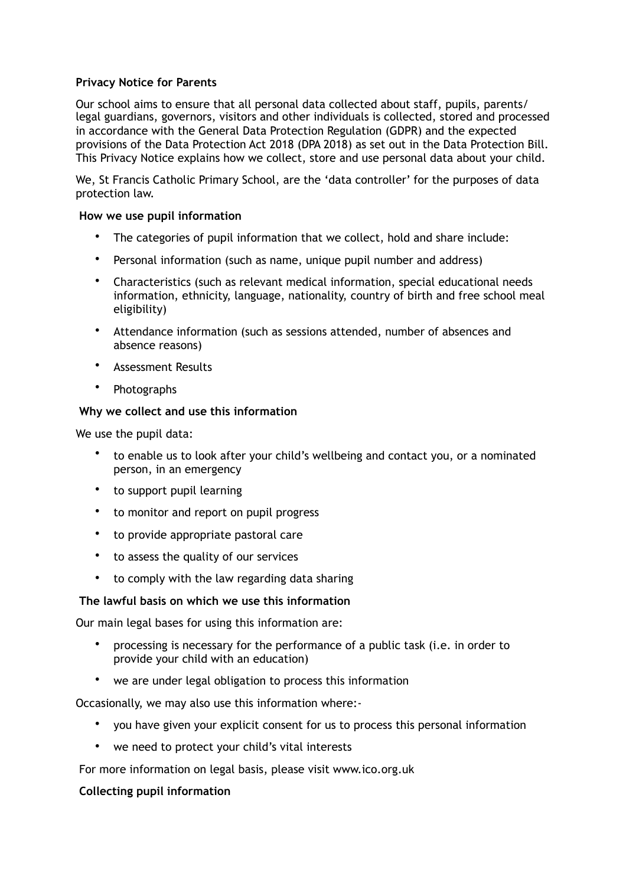### **Privacy Notice for Parents**

Our school aims to ensure that all personal data collected about staff, pupils, parents/ legal guardians, governors, visitors and other individuals is collected, stored and processed in accordance with the General Data Protection Regulation (GDPR) and the expected provisions of the Data Protection Act 2018 (DPA 2018) as set out in the Data Protection Bill. This Privacy Notice explains how we collect, store and use personal data about your child.

We, St Francis Catholic Primary School, are the 'data controller' for the purposes of data protection law.

### **How we use pupil information**

- The categories of pupil information that we collect, hold and share include:
- Personal information (such as name, unique pupil number and address)
- Characteristics (such as relevant medical information, special educational needs information, ethnicity, language, nationality, country of birth and free school meal eligibility)
- Attendance information (such as sessions attended, number of absences and absence reasons)
- Assessment Results
- Photographs

### **Why we collect and use this information**

We use the pupil data:

- to enable us to look after your child's wellbeing and contact you, or a nominated person, in an emergency
- to support pupil learning
- to monitor and report on pupil progress
- to provide appropriate pastoral care
- to assess the quality of our services
- to comply with the law regarding data sharing

### **The lawful basis on which we use this information**

Our main legal bases for using this information are:

- processing is necessary for the performance of a public task (i.e. in order to provide your child with an education)
- we are under legal obligation to process this information

Occasionally, we may also use this information where:-

- you have given your explicit consent for us to process this personal information
- we need to protect your child's vital interests

For more information on legal basis, please visit www.ico.org.uk

### **Collecting pupil information**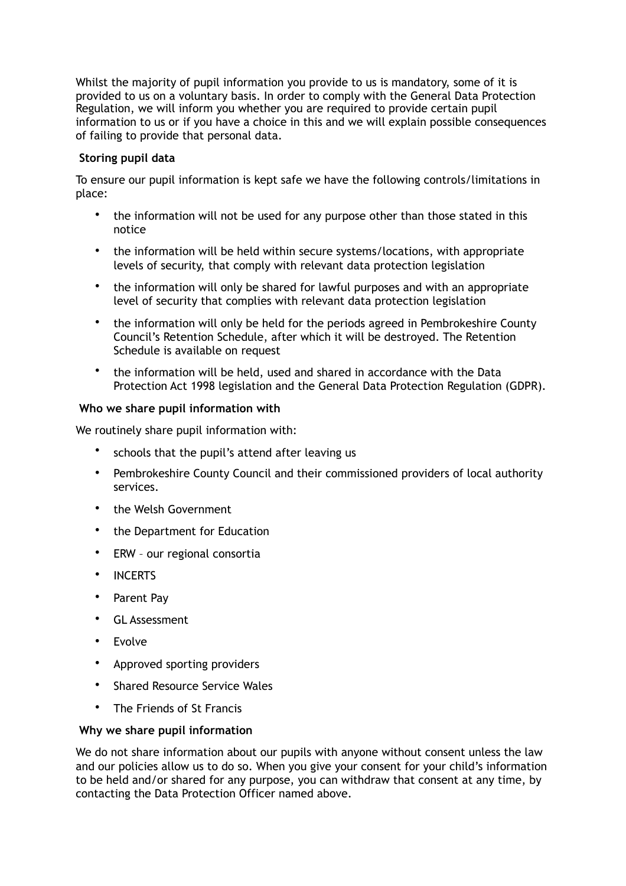Whilst the majority of pupil information you provide to us is mandatory, some of it is provided to us on a voluntary basis. In order to comply with the General Data Protection Regulation, we will inform you whether you are required to provide certain pupil information to us or if you have a choice in this and we will explain possible consequences of failing to provide that personal data.

## **Storing pupil data**

To ensure our pupil information is kept safe we have the following controls/limitations in place:

- the information will not be used for any purpose other than those stated in this notice
- the information will be held within secure systems/locations, with appropriate levels of security, that comply with relevant data protection legislation
- the information will only be shared for lawful purposes and with an appropriate level of security that complies with relevant data protection legislation
- the information will only be held for the periods agreed in Pembrokeshire County Council's Retention Schedule, after which it will be destroyed. The Retention Schedule is available on request
- the information will be held, used and shared in accordance with the Data Protection Act 1998 legislation and the General Data Protection Regulation (GDPR).

# **Who we share pupil information with**

We routinely share pupil information with:

- schools that the pupil's attend after leaving us
- Pembrokeshire County Council and their commissioned providers of local authority services.
- the Welsh Government
- the Department for Education
- ERW our regional consortia
- INCERTS
- Parent Pay
- GL Assessment
- Evolve
- Approved sporting providers
- Shared Resource Service Wales
- The Friends of St Francis

### **Why we share pupil information**

We do not share information about our pupils with anyone without consent unless the law and our policies allow us to do so. When you give your consent for your child's information to be held and/or shared for any purpose, you can withdraw that consent at any time, by contacting the Data Protection Officer named above.